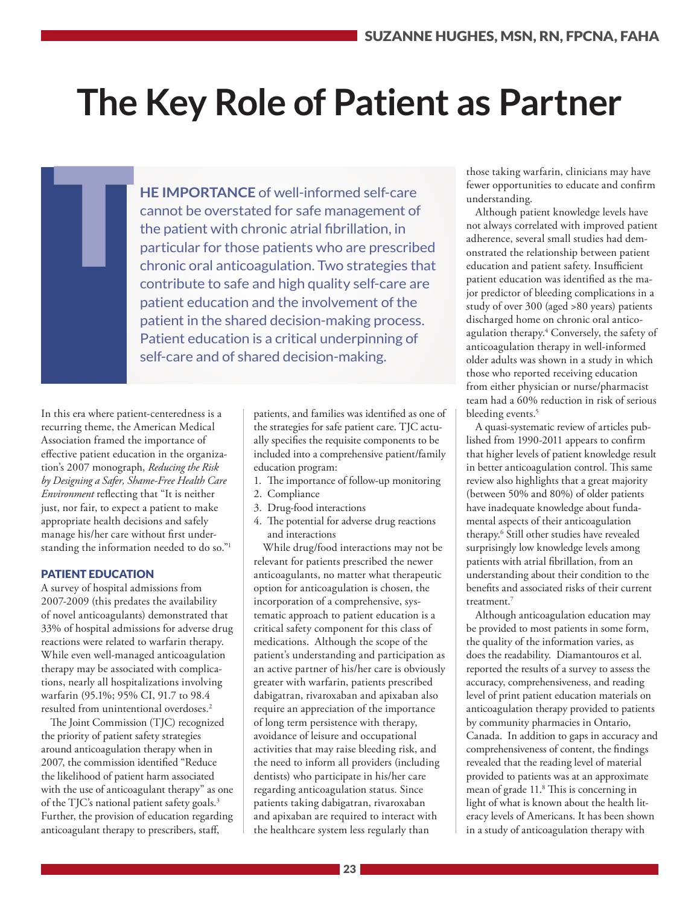# **The Key Role of Patient as Partner**

**HE IMPORTANCE** of well-informed self-care cannot be overstated for safe management of the patient with chronic atrial fibrillation, in particular for those patients who are prescribed chronic oral anticoagulation. Two strategies that contribute to safe and high quality self-care are patient education and the involvement of the patient in the shared decision-making process. Patient education is a critical underpinning of self-care and of shared decision-making.

In this era where patient-centeredness is a recurring theme, the American Medical Association framed the importance of effective patient education in the organization's 2007 monograph, *Reducing the Risk by Designing a Safer, Shame-Free Health Care Environment* reflecting that "It is neither just, nor fair, to expect a patient to make appropriate health decisions and safely manage his/her care without first understanding the information needed to do so."1

## PATIENT EDUCATION

T

A survey of hospital admissions from 2007-2009 (this predates the availability of novel anticoagulants) demonstrated that 33% of hospital admissions for adverse drug reactions were related to warfarin therapy. While even well-managed anticoagulation therapy may be associated with complications, nearly all hospitalizations involving warfarin (95.1%; 95% CI, 91.7 to 98.4 resulted from unintentional overdoses.<sup>2</sup>

The Joint Commission (TJC) recognized the priority of patient safety strategies around anticoagulation therapy when in 2007, the commission identified "Reduce the likelihood of patient harm associated with the use of anticoagulant therapy" as one of the TJC's national patient safety goals.3 Further, the provision of education regarding anticoagulant therapy to prescribers, staff,

patients, and families was identified as one of the strategies for safe patient care. TJC actually specifies the requisite components to be included into a comprehensive patient/family education program:

- 1. The importance of follow-up monitoring
- 2. Compliance
- 3. Drug-food interactions
- 4. The potential for adverse drug reactions and interactions

While drug/food interactions may not be relevant for patients prescribed the newer anticoagulants, no matter what therapeutic option for anticoagulation is chosen, the incorporation of a comprehensive, systematic approach to patient education is a critical safety component for this class of medications. Although the scope of the patient's understanding and participation as an active partner of his/her care is obviously greater with warfarin, patients prescribed dabigatran, rivaroxaban and apixaban also require an appreciation of the importance of long term persistence with therapy, avoidance of leisure and occupational activities that may raise bleeding risk, and the need to inform all providers (including dentists) who participate in his/her care regarding anticoagulation status. Since patients taking dabigatran, rivaroxaban and apixaban are required to interact with the healthcare system less regularly than

those taking warfarin, clinicians may have fewer opportunities to educate and confirm understanding.

Although patient knowledge levels have not always correlated with improved patient adherence, several small studies had demonstrated the relationship between patient education and patient safety. Insufficient patient education was identified as the major predictor of bleeding complications in a study of over 300 (aged >80 years) patients discharged home on chronic oral anticoagulation therapy.4 Conversely, the safety of anticoagulation therapy in well-informed older adults was shown in a study in which those who reported receiving education from either physician or nurse/pharmacist team had a 60% reduction in risk of serious bleeding events.<sup>5</sup>

A quasi-systematic review of articles published from 1990-2011 appears to confirm that higher levels of patient knowledge result in better anticoagulation control. This same review also highlights that a great majority (between 50% and 80%) of older patients have inadequate knowledge about fundamental aspects of their anticoagulation therapy.6 Still other studies have revealed surprisingly low knowledge levels among patients with atrial fibrillation, from an understanding about their condition to the benefits and associated risks of their current treatment.7

Although anticoagulation education may be provided to most patients in some form, the quality of the information varies, as does the readability. Diamantouros et al. reported the results of a survey to assess the accuracy, comprehensiveness, and reading level of print patient education materials on anticoagulation therapy provided to patients by community pharmacies in Ontario, Canada. In addition to gaps in accuracy and comprehensiveness of content, the findings revealed that the reading level of material provided to patients was at an approximate mean of grade 11.8 This is concerning in light of what is known about the health literacy levels of Americans. It has been shown in a study of anticoagulation therapy with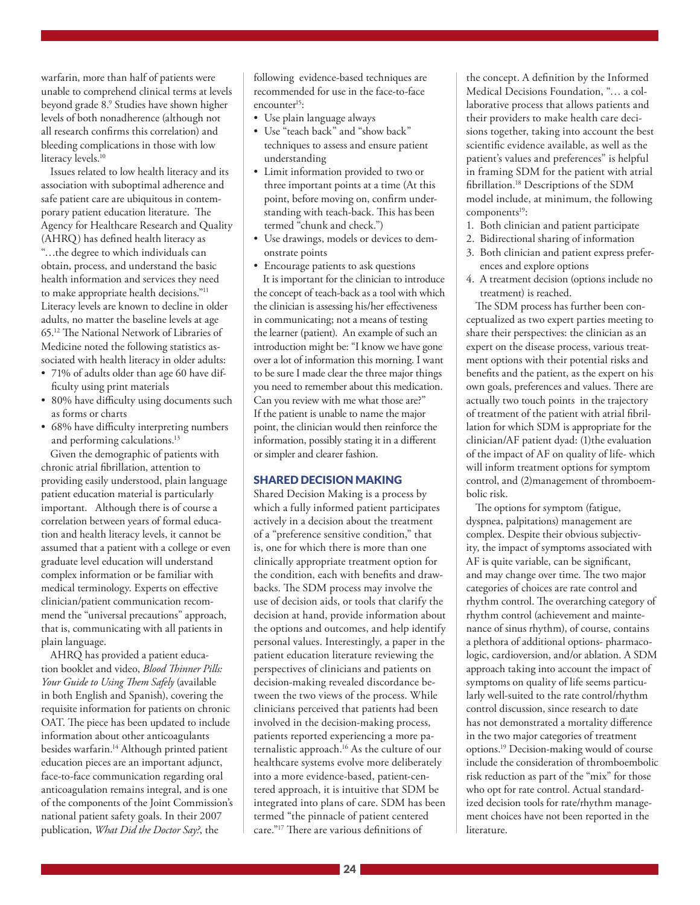warfarin, more than half of patients were unable to comprehend clinical terms at levels beyond grade 8.9 Studies have shown higher levels of both nonadherence (although not all research confirms this correlation) and bleeding complications in those with low literacy levels.<sup>10</sup>

Issues related to low health literacy and its association with suboptimal adherence and safe patient care are ubiquitous in contemporary patient education literature. The Agency for Healthcare Research and Quality (AHRQ) has defined health literacy as "…the degree to which individuals can obtain, process, and understand the basic health information and services they need to make appropriate health decisions."11 Literacy levels are known to decline in older adults, no matter the baseline levels at age 65.12 The National Network of Libraries of Medicine noted the following statistics associated with health literacy in older adults:

- 71% of adults older than age 60 have difficulty using print materials
- 80% have difficulty using documents such as forms or charts
- 68% have difficulty interpreting numbers and performing calculations.<sup>13</sup>

Given the demographic of patients with chronic atrial fibrillation, attention to providing easily understood, plain language patient education material is particularly important. Although there is of course a correlation between years of formal education and health literacy levels, it cannot be assumed that a patient with a college or even graduate level education will understand complex information or be familiar with medical terminology. Experts on effective clinician/patient communication recommend the "universal precautions" approach, that is, communicating with all patients in plain language.

AHRQ has provided a patient education booklet and video, *Blood Thinner Pills: Your Guide to Using Them Safely* (available in both English and Spanish), covering the requisite information for patients on chronic OAT. The piece has been updated to include information about other anticoagulants besides warfarin.<sup>14</sup> Although printed patient education pieces are an important adjunct, face-to-face communication regarding oral anticoagulation remains integral, and is one of the components of the Joint Commission's national patient safety goals. In their 2007 publication, *What Did the Doctor Say?*, the

following evidence-based techniques are recommended for use in the face-to-face encounter $15$ :

- Use plain language always
- Use "teach back" and "show back" techniques to assess and ensure patient understanding
- Limit information provided to two or three important points at a time (At this point, before moving on, confirm understanding with teach-back. This has been termed "chunk and check.")
- Use drawings, models or devices to demonstrate points

• Encourage patients to ask questions It is important for the clinician to introduce the concept of teach-back as a tool with which the clinician is assessing his/her effectiveness in communicating; not a means of testing the learner (patient). An example of such an introduction might be: "I know we have gone over a lot of information this morning. I want to be sure I made clear the three major things you need to remember about this medication. Can you review with me what those are?" If the patient is unable to name the major point, the clinician would then reinforce the information, possibly stating it in a different or simpler and clearer fashion.

## SHARED DECISION MAKING

Shared Decision Making is a process by which a fully informed patient participates actively in a decision about the treatment of a "preference sensitive condition," that is, one for which there is more than one clinically appropriate treatment option for the condition, each with benefits and drawbacks. The SDM process may involve the use of decision aids, or tools that clarify the decision at hand, provide information about the options and outcomes, and help identify personal values. Interestingly, a paper in the patient education literature reviewing the perspectives of clinicians and patients on decision-making revealed discordance between the two views of the process. While clinicians perceived that patients had been involved in the decision-making process, patients reported experiencing a more paternalistic approach.16 As the culture of our healthcare systems evolve more deliberately into a more evidence-based, patient-centered approach, it is intuitive that SDM be integrated into plans of care. SDM has been termed "the pinnacle of patient centered care."17 There are various definitions of

the concept. A definition by the Informed Medical Decisions Foundation, "… a collaborative process that allows patients and their providers to make health care decisions together, taking into account the best scientific evidence available, as well as the patient's values and preferences" is helpful in framing SDM for the patient with atrial fibrillation.18 Descriptions of the SDM model include, at minimum, the following components<sup>19</sup>:

- 1. Both clinician and patient participate
- 2. Bidirectional sharing of information
- 3. Both clinician and patient express preferences and explore options
- 4. A treatment decision (options include no treatment) is reached.

The SDM process has further been conceptualized as two expert parties meeting to share their perspectives: the clinician as an expert on the disease process, various treatment options with their potential risks and benefits and the patient, as the expert on his own goals, preferences and values. There are actually two touch points in the trajectory of treatment of the patient with atrial fibrillation for which SDM is appropriate for the clinician/AF patient dyad: (1)the evaluation of the impact of AF on quality of life- which will inform treatment options for symptom control, and (2)management of thromboembolic risk.

The options for symptom (fatigue, dyspnea, palpitations) management are complex. Despite their obvious subjectivity, the impact of symptoms associated with AF is quite variable, can be significant, and may change over time. The two major categories of choices are rate control and rhythm control. The overarching category of rhythm control (achievement and maintenance of sinus rhythm), of course, contains a plethora of additional options- pharmacologic, cardioversion, and/or ablation. A SDM approach taking into account the impact of symptoms on quality of life seems particularly well-suited to the rate control/rhythm control discussion, since research to date has not demonstrated a mortality difference in the two major categories of treatment options.19 Decision-making would of course include the consideration of thromboembolic risk reduction as part of the "mix" for those who opt for rate control. Actual standardized decision tools for rate/rhythm management choices have not been reported in the literature.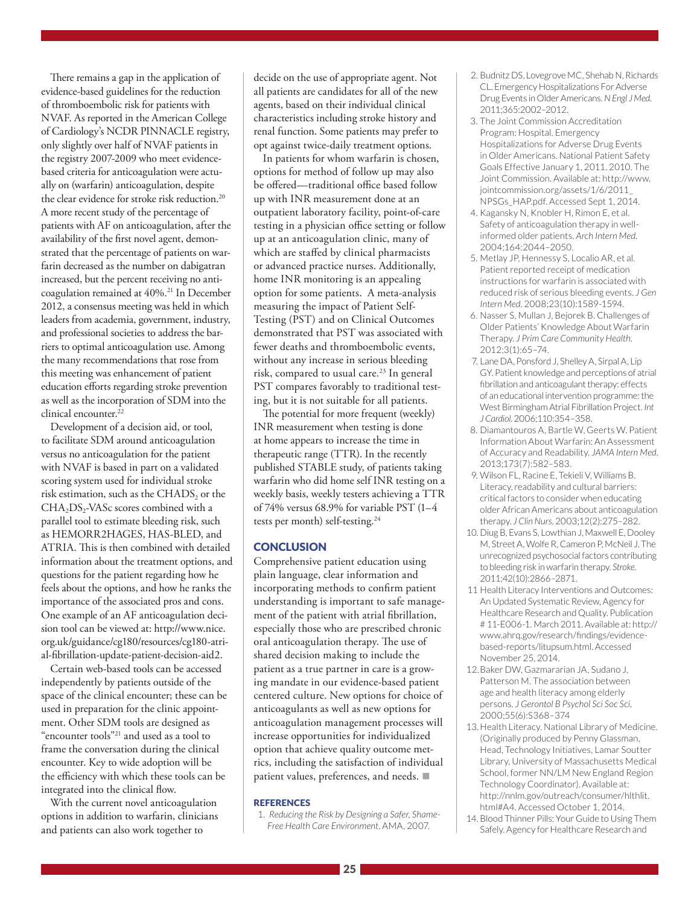There remains a gap in the application of evidence-based guidelines for the reduction of thromboembolic risk for patients with NVAF. As reported in the American College of Cardiology's NCDR PINNACLE registry, only slightly over half of NVAF patients in the registry 2007-2009 who meet evidencebased criteria for anticoagulation were actually on (warfarin) anticoagulation, despite the clear evidence for stroke risk reduction.<sup>20</sup> A more recent study of the percentage of patients with AF on anticoagulation, after the availability of the first novel agent, demonstrated that the percentage of patients on warfarin decreased as the number on dabigatran increased, but the percent receiving no anticoagulation remained at 40%.<sup>21</sup> In December 2012, a consensus meeting was held in which leaders from academia, government, industry, and professional societies to address the barriers to optimal anticoagulation use. Among the many recommendations that rose from this meeting was enhancement of patient education efforts regarding stroke prevention as well as the incorporation of SDM into the clinical encounter.<sup>22</sup>

Development of a decision aid, or tool, to facilitate SDM around anticoagulation versus no anticoagulation for the patient with NVAF is based in part on a validated scoring system used for individual stroke risk estimation, such as the CHADS, or the  $\mathrm{CHA}_{2}\mathrm{DS}_{2}$ -VASc scores combined with a parallel tool to estimate bleeding risk, such as HEMORR2HAGES, HAS-BLED, and ATRIA. This is then combined with detailed information about the treatment options, and questions for the patient regarding how he feels about the options, and how he ranks the importance of the associated pros and cons. One example of an AF anticoagulation decision tool can be viewed at: http://www.nice. org.uk/guidance/cg180/resources/cg180-atrial-fibrillation-update-patient-decision-aid2.

Certain web-based tools can be accessed independently by patients outside of the space of the clinical encounter; these can be used in preparation for the clinic appointment. Other SDM tools are designed as "encounter tools"21 and used as a tool to frame the conversation during the clinical encounter. Key to wide adoption will be the efficiency with which these tools can be integrated into the clinical flow.

With the current novel anticoagulation options in addition to warfarin, clinicians and patients can also work together to

decide on the use of appropriate agent. Not all patients are candidates for all of the new agents, based on their individual clinical characteristics including stroke history and renal function. Some patients may prefer to opt against twice-daily treatment options.

In patients for whom warfarin is chosen, options for method of follow up may also be offered—traditional office based follow up with INR measurement done at an outpatient laboratory facility, point-of-care testing in a physician office setting or follow up at an anticoagulation clinic, many of which are staffed by clinical pharmacists or advanced practice nurses. Additionally, home INR monitoring is an appealing option for some patients. A meta-analysis measuring the impact of Patient Self-Testing (PST) and on Clinical Outcomes demonstrated that PST was associated with fewer deaths and thromboembolic events, without any increase in serious bleeding risk, compared to usual care.<sup>23</sup> In general PST compares favorably to traditional testing, but it is not suitable for all patients.

The potential for more frequent (weekly) INR measurement when testing is done at home appears to increase the time in therapeutic range (TTR). In the recently published STABLE study, of patients taking warfarin who did home self INR testing on a weekly basis, weekly testers achieving a TTR of 74% versus 68.9% for variable PST (1–4 tests per month) self-testing.<sup>24</sup>

### **CONCLUSION**

Comprehensive patient education using plain language, clear information and incorporating methods to confirm patient understanding is important to safe management of the patient with atrial fibrillation, especially those who are prescribed chronic oral anticoagulation therapy. The use of shared decision making to include the patient as a true partner in care is a growing mandate in our evidence-based patient centered culture. New options for choice of anticoagulants as well as new options for anticoagulation management processes will increase opportunities for individualized option that achieve quality outcome metrics, including the satisfaction of individual patient values, preferences, and needs.  $\blacksquare$ 

#### **REFERENCES**

1. *Reducing the Risk by Designing a Safer, Shame*-*Free Health Care Environment*. AMA, 2007.

- 2. Budnitz DS, Lovegrove MC, Shehab N, Richards CL. Emergency Hospitalizations For Adverse Drug Events in Older Americans. *N Engl J Med*. 2011;365:2002–2012.
- 3. The Joint Commission Accreditation Program: Hospital. Emergency Hospitalizations for Adverse Drug Events in Older Americans. National Patient Safety Goals Effective January 1, 2011. 2010. The Joint Commission. Available at: http://www. jointcommission.org/assets/1/6/2011\_ NPSGs\_HAP.pdf. Accessed Sept 1, 2014.
- 4. Kagansky N, Knobler H, Rimon E, et al. Safety of anticoagulation therapy in wellinformed older patients. *Arch Intern Med*. 2004;164:2044–2050.
- 5. Metlay JP, Hennessy S, Localio AR, et al. Patient reported receipt of medication instructions for warfarin is associated with reduced risk of serious bleeding events. *J Gen Intern Med*. 2008;23(10):1589-1594.
- 6. Nasser S, Mullan J, Bejorek B. Challenges of Older Patients' Knowledge About Warfarin Therapy. *J Prim Care Community Health*. 2012;3(1):65–74.
- 7. Lane DA, Ponsford J, Shelley A, Sirpal A, Lip GY. Patient knowledge and perceptions of atrial fibrillation and anticoagulant therapy: effects of an educational intervention programme: the West Birmingham Atrial Fibrillation Project. *Int J Cardiol*. 2006;110:354–358.
- 8. Diamantouros A, Bartle W, Geerts W. Patient Information About Warfarin: An Assessment of Accuracy and Readability. *JAMA Intern Med*. 2013;173(7):582–583.
- 9. Wilson FL, Racine E, Tekieli V, Williams B. Literacy, readability and cultural barriers: critical factors to consider when educating older African Americans about anticoagulation therapy. *J Clin Nurs*. 2003;12(2):275–282.
- 10. Diug B, Evans S, Lowthian J, Maxwell E, Dooley M, Street A, Wolfe R, Cameron P, McNeil J. The unrecognized psychosocial factors contributing to bleeding risk in warfarin therapy. *Stroke*. 2011;42(10):2866–2871.
- 11 Health Literacy Interventions and Outcomes: An Updated Systematic Review, Agency for Healthcare Research and Quality. Publication # 11-E006-1. March 2011. Available at: http:// www.ahrq.gov/research/findings/evidencebased-reports/litupsum.html. Accessed November 25, 2014.
- 12.Baker DW, Gazmararian JA, Sudano J, Patterson M. The association between age and health literacy among elderly persons. *J Gerontol B Psychol Sci Soc Sci*. 2000;55(6):S368–374
- 13.Health Literacy. National Library of Medicine. (Originally produced by Penny Glassman, Head, Technology Initiatives, Lamar Soutter Library, University of Massachusetts Medical School, former NN/LM New England Region Technology Coordinator). Available at: http://nnlm.gov/outreach/consumer/hlthlit. html#A4. Accessed October 1, 2014.
- 14. Blood Thinner Pills: Your Guide to Using Them Safely. Agency for Healthcare Research and